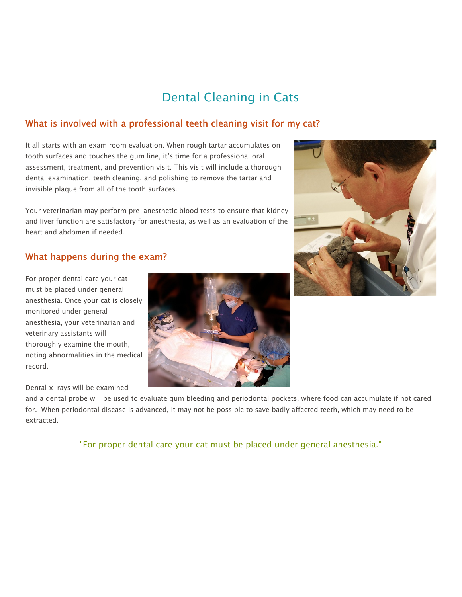# Dental Cleaning in Cats

# What is involved with a professional teeth cleaning visit for my cat?

It all starts with an exam room evaluation. When rough tartar accumulates on tooth surfaces and touches the gum line, it's time for a professional oral assessment, treatment, and prevention visit. This visit will include a thorough dental examination, teeth cleaning, and polishing to remove the tartar and invisible plaque from all of the tooth surfaces.

Your veterinarian may perform pre-anesthetic blood tests to ensure that kidney and liver function are satisfactory for anesthesia, as well as an evaluation of the heart and abdomen if needed.

### What happens during the exam?

For proper dental care your cat must be placed under general anesthesia. Once your cat is closely monitored under general anesthesia, your veterinarian and veterinary assistants will thoroughly examine the mouth, noting abnormalities in the medical record.

#### Dental x-rays will be examined

and a dental probe will be used to evaluate gum bleeding and periodontal pockets, where food can accumulate if not cared for. When periodontal disease is advanced, it may not be possible to save badly affected teeth, which may need to be extracted.

"For proper dental care your cat must be placed under general anesthesia."



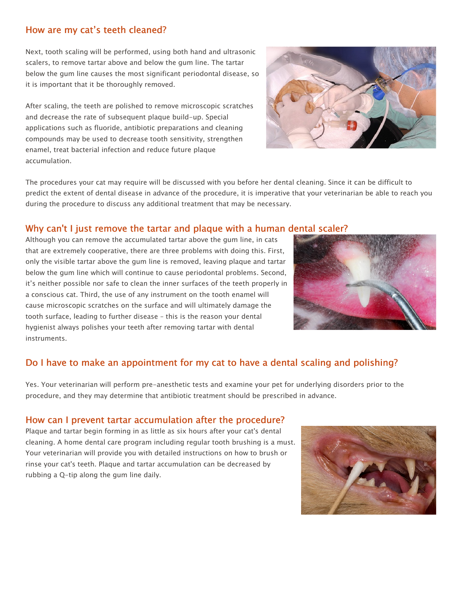#### How are my cat's teeth cleaned?

Next, tooth scaling will be performed, using both hand and ultrasonic scalers, to remove tartar above and below the gum line. The tartar below the gum line causes the most significant periodontal disease, so it is important that it be thoroughly removed.

After scaling, the teeth are polished to remove microscopic scratches and decrease the rate of subsequent plaque build-up. Special applications such as fluoride, antibiotic preparations and cleaning compounds may be used to decrease tooth sensitivity, strengthen enamel, treat bacterial infection and reduce future plaque accumulation.



The procedures your cat may require will be discussed with you before her dental cleaning. Since it can be difficult to predict the extent of dental disease in advance of the procedure, it is imperative that your veterinarian be able to reach you during the procedure to discuss any additional treatment that may be necessary.

#### Why can't I just remove the tartar and plaque with a human dental scaler?

Although you can remove the accumulated tartar above the gum line, in cats that are extremely cooperative, there are three problems with doing this. First, only the visible tartar above the gum line is removed, leaving plaque and tartar below the gum line which will continue to cause periodontal problems. Second, it's neither possible nor safe to clean the inner surfaces of the teeth properly in a conscious cat. Third, the use of any instrument on the tooth enamel will cause microscopic scratches on the surface and will ultimately damage the tooth surface, leading to further disease – this is the reason your dental hygienist always polishes your teeth after removing tartar with dental instruments.



## Do I have to make an appointment for my cat to have a dental scaling and polishing?

Yes. Your veterinarian will perform pre-anesthetic tests and examine your pet for underlying disorders prior to the procedure, and they may determine that antibiotic treatment should be prescribed in advance.

#### How can I prevent tartar accumulation after the procedure?

Plaque and tartar begin forming in as little as six hours after your cat's dental cleaning. A home dental care program including regular tooth brushing is a must. Your veterinarian will provide you with detailed instructions on how to brush or rinse your cat's teeth. Plaque and tartar accumulation can be decreased by rubbing a Q-tip along the gum line daily.